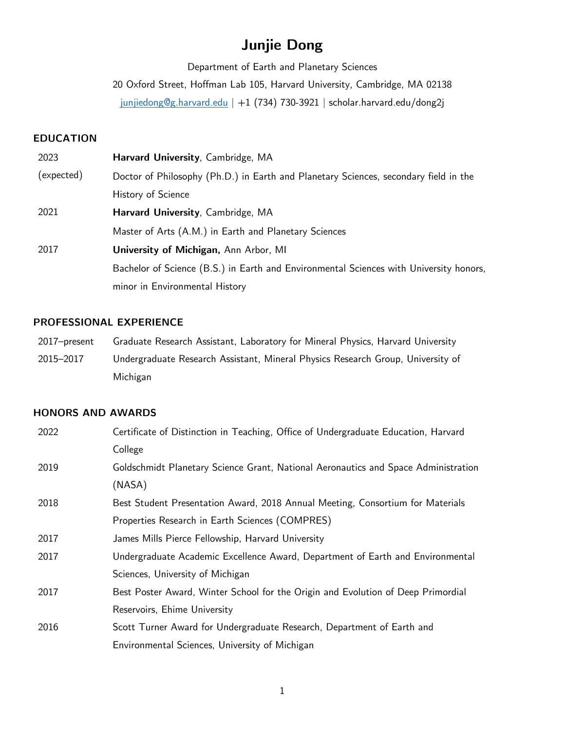# **Junjie Dong**

Department of Earth and Planetary Sciences

20 Oxford Street, Hoffman Lab 105, Harvard University, Cambridge, MA 02138

junjiedong@g.harvard.edu | +1 (734) 730-3921 | scholar.harvard.edu/dong2j

# **EDUCATION**

| 2023       | Harvard University, Cambridge, MA                                                      |
|------------|----------------------------------------------------------------------------------------|
| (expected) | Doctor of Philosophy (Ph.D.) in Earth and Planetary Sciences, secondary field in the   |
|            | History of Science                                                                     |
| 2021       | Harvard University, Cambridge, MA                                                      |
|            | Master of Arts (A.M.) in Earth and Planetary Sciences                                  |
| 2017       | University of Michigan, Ann Arbor, MI                                                  |
|            | Bachelor of Science (B.S.) in Earth and Environmental Sciences with University honors, |
|            | minor in Environmental History                                                         |

## **PROFESSIONAL EXPERIENCE**

| 2017–present | Graduate Research Assistant, Laboratory for Mineral Physics, Harvard University |
|--------------|---------------------------------------------------------------------------------|
| 2015–2017    | Undergraduate Research Assistant, Mineral Physics Research Group, University of |
|              | Michigan                                                                        |

# **HONORS AND AWARDS**

| 2022 | Certificate of Distinction in Teaching, Office of Undergraduate Education, Harvard |
|------|------------------------------------------------------------------------------------|
|      | College                                                                            |
| 2019 | Goldschmidt Planetary Science Grant, National Aeronautics and Space Administration |
|      | (NASA)                                                                             |
| 2018 | Best Student Presentation Award, 2018 Annual Meeting, Consortium for Materials     |
|      | Properties Research in Earth Sciences (COMPRES)                                    |
| 2017 | James Mills Pierce Fellowship, Harvard University                                  |
| 2017 | Undergraduate Academic Excellence Award, Department of Earth and Environmental     |
|      | Sciences, University of Michigan                                                   |
| 2017 | Best Poster Award, Winter School for the Origin and Evolution of Deep Primordial   |
|      | Reservoirs, Ehime University                                                       |
| 2016 | Scott Turner Award for Undergraduate Research, Department of Earth and             |
|      | Environmental Sciences, University of Michigan                                     |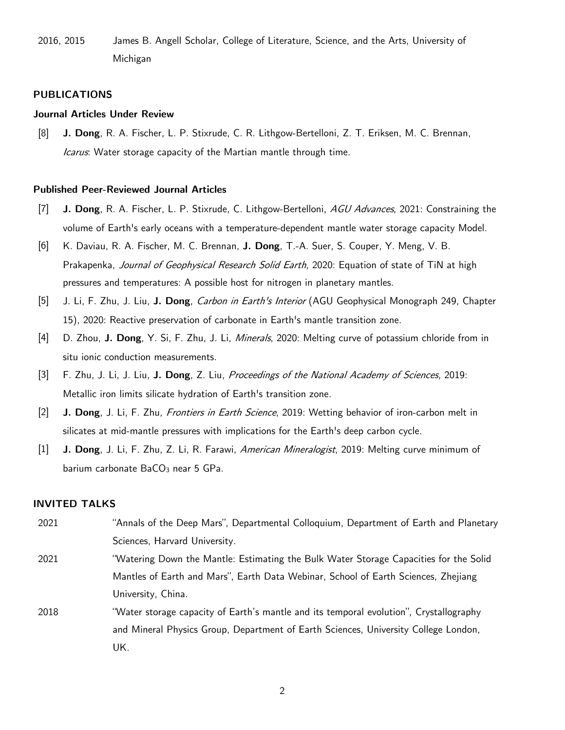2016, 2015 James B. Angell Scholar, College of Literature, Science, and the Arts, University of Michigan

#### **PUBLICATIONS**

#### **Journal Articles Under Review**

[8] **J. Dong**, R. A. Fischer, L. P. Stixrude, C. R. Lithgow-Bertelloni, Z. T. Eriksen, M. C. Brennan, Icarus. Water storage capacity of the Martian mantle through time.

#### **Published Peer-Reviewed Journal Articles**

- [7] **J. Dong**, R. A. Fischer, L. P. Stixrude, C. Lithgow-Bertelloni, AGU Advances, 2021: Constraining the volume of Earth's early oceans with a temperature-dependent mantle water storage capacity Model.
- [6] K. Daviau, R. A. Fischer, M. C. Brennan, **J. Dong**, T.-A. Suer, S. Couper, Y. Meng, V. B. Prakapenka, Journal of Geophysical Research Solid Earth, 2020: Equation of state of TiN at high pressures and temperatures: A possible host for nitrogen in planetary mantles.
- [5] J. Li, F. Zhu, J. Liu, **J. Dong**, Carbon in Earth's Interior (AGU Geophysical Monograph 249, Chapter 15), 2020: Reactive preservation of carbonate in Earth's mantle transition zone.
- [4] D. Zhou, **J. Dong**, Y. Si, F. Zhu, J. Li, Minerals, 2020: Melting curve of potassium chloride from in situ ionic conduction measurements.
- [3] F. Zhu, J. Li, J. Liu, **J. Dong**, Z. Liu, Proceedings of the National Academy of Sciences, 2019: Metallic iron limits silicate hydration of Earth's transition zone.
- [2] **J. Dong**, J. Li, F. Zhu, Frontiers in Earth Science, 2019: Wetting behavior of iron-carbon melt in silicates at mid-mantle pressures with implications for the Earth's deep carbon cycle.
- [1] **J. Dong**, J. Li, F. Zhu, Z. Li, R. Farawi, American Mineralogist, 2019: Melting curve minimum of barium carbonate  $BaCO<sub>3</sub>$  near 5 GPa.

#### **INVITED TALKS**

- 2021 "Annals of the Deep Mars", Departmental Colloquium, Department of Earth and Planetary Sciences, Harvard University.
- 2021 "Watering Down the Mantle: Estimating the Bulk Water Storage Capacities for the Solid Mantles of Earth and Mars", Earth Data Webinar, School of Earth Sciences, Zhejiang University, China.
- 2018 "Water storage capacity of Earth's mantle and its temporal evolution", Crystallography and Mineral Physics Group, Department of Earth Sciences, University College London, UK.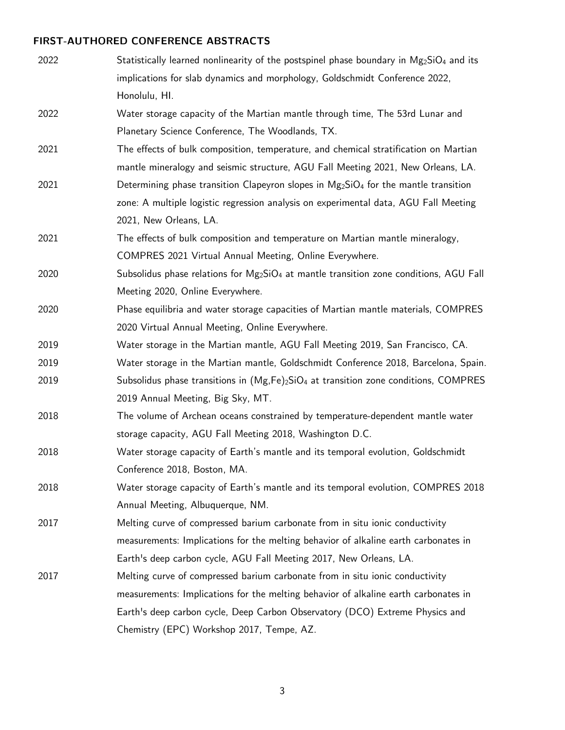# **FIRST-AUTHORED CONFERENCE ABSTRACTS**

| 2022 | Statistically learned nonlinearity of the postspinel phase boundary in $Mg_2SiO_4$ and its |
|------|--------------------------------------------------------------------------------------------|
|      | implications for slab dynamics and morphology, Goldschmidt Conference 2022,                |
|      | Honolulu, HI.                                                                              |
| 2022 | Water storage capacity of the Martian mantle through time, The 53rd Lunar and              |
|      | Planetary Science Conference, The Woodlands, TX.                                           |
| 2021 | The effects of bulk composition, temperature, and chemical stratification on Martian       |
|      | mantle mineralogy and seismic structure, AGU Fall Meeting 2021, New Orleans, LA.           |
| 2021 | Determining phase transition Clapeyron slopes in $Mg_2SiO_4$ for the mantle transition     |
|      | zone: A multiple logistic regression analysis on experimental data, AGU Fall Meeting       |
|      | 2021, New Orleans, LA.                                                                     |
| 2021 | The effects of bulk composition and temperature on Martian mantle mineralogy,              |
|      | COMPRES 2021 Virtual Annual Meeting, Online Everywhere.                                    |
| 2020 | Subsolidus phase relations for $Mg_2SiO_4$ at mantle transition zone conditions, AGU Fall  |
|      | Meeting 2020, Online Everywhere.                                                           |
| 2020 | Phase equilibria and water storage capacities of Martian mantle materials, COMPRES         |
|      | 2020 Virtual Annual Meeting, Online Everywhere.                                            |
| 2019 | Water storage in the Martian mantle, AGU Fall Meeting 2019, San Francisco, CA.             |
| 2019 | Water storage in the Martian mantle, Goldschmidt Conference 2018, Barcelona, Spain.        |
| 2019 | Subsolidus phase transitions in $(Mg,Fe)_2SiO_4$ at transition zone conditions, COMPRES    |
|      | 2019 Annual Meeting, Big Sky, MT.                                                          |
| 2018 | The volume of Archean oceans constrained by temperature-dependent mantle water             |
|      | storage capacity, AGU Fall Meeting 2018, Washington D.C.                                   |
| 2018 | Water storage capacity of Earth's mantle and its temporal evolution, Goldschmidt           |
|      | Conference 2018, Boston, MA.                                                               |
| 2018 | Water storage capacity of Earth's mantle and its temporal evolution, COMPRES 2018          |
|      | Annual Meeting, Albuquerque, NM.                                                           |
| 2017 | Melting curve of compressed barium carbonate from in situ ionic conductivity               |
|      | measurements: Implications for the melting behavior of alkaline earth carbonates in        |
|      | Earth's deep carbon cycle, AGU Fall Meeting 2017, New Orleans, LA.                         |
| 2017 | Melting curve of compressed barium carbonate from in situ ionic conductivity               |
|      | measurements: Implications for the melting behavior of alkaline earth carbonates in        |
|      | Earth's deep carbon cycle, Deep Carbon Observatory (DCO) Extreme Physics and               |
|      | Chemistry (EPC) Workshop 2017, Tempe, AZ.                                                  |

3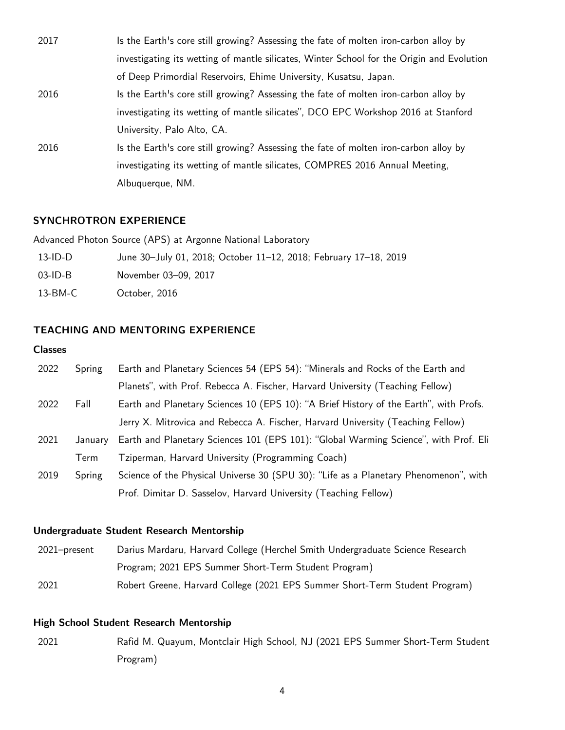| 2017 | Is the Earth's core still growing? Assessing the fate of molten iron-carbon alloy by      |
|------|-------------------------------------------------------------------------------------------|
|      | investigating its wetting of mantle silicates, Winter School for the Origin and Evolution |
|      | of Deep Primordial Reservoirs, Ehime University, Kusatsu, Japan.                          |
| 2016 | Is the Earth's core still growing? Assessing the fate of molten iron-carbon alloy by      |
|      | investigating its wetting of mantle silicates", DCO EPC Workshop 2016 at Stanford         |
|      | University, Palo Alto, CA.                                                                |
| 2016 | Is the Earth's core still growing? Assessing the fate of molten iron-carbon alloy by      |
|      | investigating its wetting of mantle silicates, COMPRES 2016 Annual Meeting,               |
|      | Albuquerque, NM.                                                                          |

## **SYNCHROTRON EXPERIENCE**

Advanced Photon Source (APS) at Argonne National Laboratory

| $13$ -ID-D |  | June 30-July 01, 2018; October 11-12, 2018; February 17-18, 2019 |  |
|------------|--|------------------------------------------------------------------|--|
|            |  |                                                                  |  |

13-BM-C October, 2016

# **TEACHING AND MENTORING EXPERIENCE**

## **Classes**

| 2022 | Spring  | Earth and Planetary Sciences 54 (EPS 54): "Minerals and Rocks of the Earth and        |
|------|---------|---------------------------------------------------------------------------------------|
|      |         | Planets", with Prof. Rebecca A. Fischer, Harvard University (Teaching Fellow)         |
| 2022 | Fall    | Earth and Planetary Sciences 10 (EPS 10): "A Brief History of the Earth", with Profs. |
|      |         | Jerry X. Mitrovica and Rebecca A. Fischer, Harvard University (Teaching Fellow)       |
| 2021 | January | Earth and Planetary Sciences 101 (EPS 101): "Global Warming Science", with Prof. Eli  |
|      | Term    | Tziperman, Harvard University (Programming Coach)                                     |
| 2019 | Spring  | Science of the Physical Universe 30 (SPU 30): "Life as a Planetary Phenomenon", with  |
|      |         | Prof. Dimitar D. Sasselov, Harvard University (Teaching Fellow)                       |

## **Undergraduate Student Research Mentorship**

| 2021-present | Darius Mardaru, Harvard College (Herchel Smith Undergraduate Science Research |
|--------------|-------------------------------------------------------------------------------|
|              | Program; 2021 EPS Summer Short-Term Student Program)                          |
| 2021         | Robert Greene, Harvard College (2021 EPS Summer Short-Term Student Program)   |

# **High School Student Research Mentorship**

2021 Rafid M. Quayum, Montclair High School, NJ (2021 EPS Summer Short-Term Student Program)

4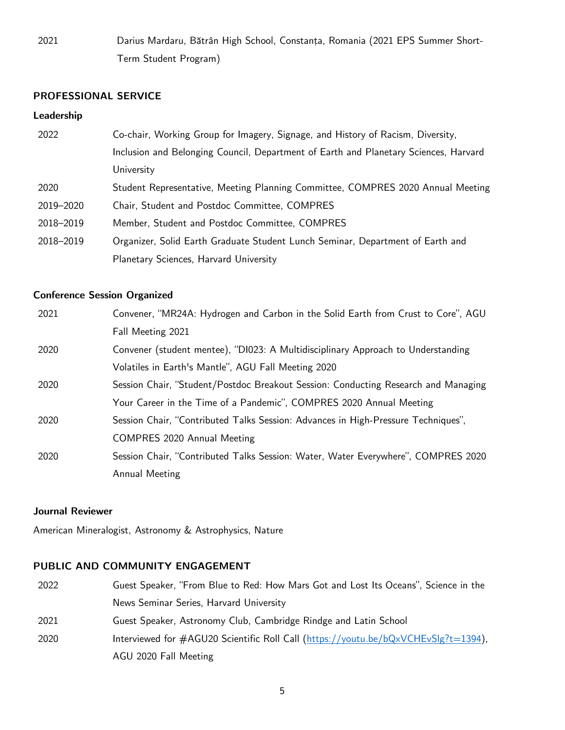2021 Darius Mardaru, Bătrân High School, Constanța, Romania (2021 EPS Summer Short-Term Student Program)

### **PROFESSIONAL SERVICE**

#### **Leadership**

| 2022      | Co-chair, Working Group for Imagery, Signage, and History of Racism, Diversity,      |
|-----------|--------------------------------------------------------------------------------------|
|           | Inclusion and Belonging Council, Department of Earth and Planetary Sciences, Harvard |
|           | University                                                                           |
| 2020      | Student Representative, Meeting Planning Committee, COMPRES 2020 Annual Meeting      |
| 2019-2020 | Chair, Student and Postdoc Committee, COMPRES                                        |
| 2018-2019 | Member, Student and Postdoc Committee, COMPRES                                       |
| 2018-2019 | Organizer, Solid Earth Graduate Student Lunch Seminar, Department of Earth and       |
|           | Planetary Sciences, Harvard University                                               |

# **Conference Session Organized**

| 2021 | Convener, "MR24A: Hydrogen and Carbon in the Solid Earth from Crust to Core", AGU  |
|------|------------------------------------------------------------------------------------|
|      | Fall Meeting 2021                                                                  |
| 2020 | Convener (student mentee), "DI023: A Multidisciplinary Approach to Understanding   |
|      | Volatiles in Earth's Mantle", AGU Fall Meeting 2020                                |
| 2020 | Session Chair, "Student/Postdoc Breakout Session: Conducting Research and Managing |
|      | Your Career in the Time of a Pandemic", COMPRES 2020 Annual Meeting                |
| 2020 | Session Chair, "Contributed Talks Session: Advances in High-Pressure Techniques",  |
|      | COMPRES 2020 Annual Meeting                                                        |
| 2020 | Session Chair, "Contributed Talks Session: Water, Water Everywhere", COMPRES 2020  |
|      | Annual Meeting                                                                     |

#### **Journal Reviewer**

American Mineralogist, Astronomy & Astrophysics, Nature

### **PUBLIC AND COMMUNITY ENGAGEMENT**

| 2022 | Guest Speaker, "From Blue to Red: How Mars Got and Lost Its Oceans", Science in the   |
|------|---------------------------------------------------------------------------------------|
|      | News Seminar Series, Harvard University                                               |
| 2021 | Guest Speaker, Astronomy Club, Cambridge Rindge and Latin School                      |
| 2020 | Interviewed for $\#AGU20$ Scientific Roll Call (https://youtu.be/bQxVCHEvSlg?t=1394), |
|      | AGU 2020 Fall Meeting                                                                 |